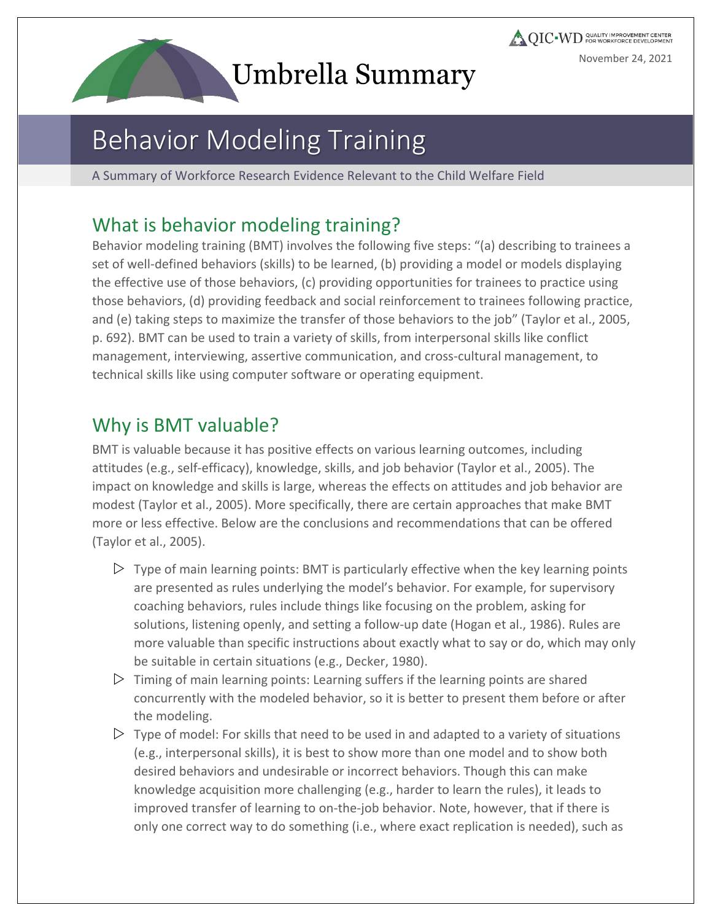# **Umbrella Summary**

**AQIC WD** CUALITY IMPROVEMENT CENTER November 24, 2021

# Behavior Modeling Training

A Summary of Workforce Research Evidence Relevant to the Child Welfare Field

#### What is behavior modeling training?

Behavior modeling training (BMT) involves the following five steps: "(a) describing to trainees a set of well-defined behaviors (skills) to be learned, (b) providing a model or models displaying the effective use of those behaviors, (c) providing opportunities for trainees to practice using those behaviors, (d) providing feedback and social reinforcement to trainees following practice, and (e) taking steps to maximize the transfer of those behaviors to the job" (Taylor et al., 2005, p. 692). BMT can be used to train a variety of skills, from interpersonal skills like conflict management, interviewing, assertive communication, and cross-cultural management, to technical skills like using computer software or operating equipment.

## Why is BMT valuable?

BMT is valuable because it has positive effects on various learning outcomes, including attitudes (e.g., self-efficacy), knowledge, skills, and job behavior (Taylor et al., 2005). The impact on knowledge and skills is large, whereas the effects on attitudes and job behavior are modest (Taylor et al., 2005). More specifically, there are certain approaches that make BMT more or less effective. Below are the conclusions and recommendations that can be offered (Taylor et al., 2005).

- $\triangleright$  Type of main learning points: BMT is particularly effective when the key learning points are presented as rules underlying the model's behavior. For example, for supervisory coaching behaviors, rules include things like focusing on the problem, asking for solutions, listening openly, and setting a follow-up date (Hogan et al., 1986). Rules are more valuable than specific instructions about exactly what to say or do, which may only be suitable in certain situations (e.g., Decker, 1980).
- $\triangleright$  Timing of main learning points: Learning suffers if the learning points are shared concurrently with the modeled behavior, so it is better to present them before or after the modeling.
- $\triangleright$  Type of model: For skills that need to be used in and adapted to a variety of situations (e.g., interpersonal skills), it is best to show more than one model and to show both desired behaviors and undesirable or incorrect behaviors. Though this can make knowledge acquisition more challenging (e.g., harder to learn the rules), it leads to improved transfer of learning to on-the-job behavior. Note, however, that if there is only one correct way to do something (i.e., where exact replication is needed), such as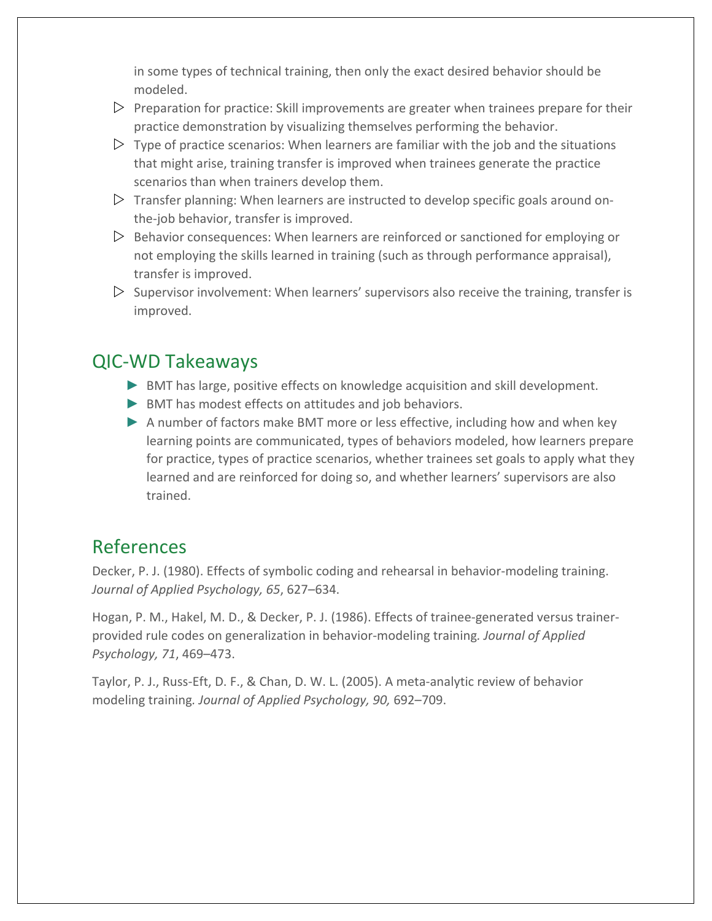in some types of technical training, then only the exact desired behavior should be modeled.

- $\triangleright$  Preparation for practice: Skill improvements are greater when trainees prepare for their practice demonstration by visualizing themselves performing the behavior.
- $\triangleright$  Type of practice scenarios: When learners are familiar with the job and the situations that might arise, training transfer is improved when trainees generate the practice scenarios than when trainers develop them.
- $\triangleright$  Transfer planning: When learners are instructed to develop specific goals around onthe-job behavior, transfer is improved.
- $\triangleright$  Behavior consequences: When learners are reinforced or sanctioned for employing or not employing the skills learned in training (such as through performance appraisal), transfer is improved.
- $\triangleright$  Supervisor involvement: When learners' supervisors also receive the training, transfer is improved.

#### QIC-WD Takeaways

- ► BMT has large, positive effects on knowledge acquisition and skill development.
- ► BMT has modest effects on attitudes and job behaviors.
- ▶ A number of factors make BMT more or less effective, including how and when key learning points are communicated, types of behaviors modeled, how learners prepare for practice, types of practice scenarios, whether trainees set goals to apply what they learned and are reinforced for doing so, and whether learners' supervisors are also trained.

#### References

Decker, P. J. (1980). Effects of symbolic coding and rehearsal in behavior-modeling training. *Journal of Applied Psychology, 65*, 627–634.

Hogan, P. M., Hakel, M. D., & Decker, P. J. (1986). Effects of trainee-generated versus trainerprovided rule codes on generalization in behavior-modeling training*. Journal of Applied Psychology, 71*, 469–473.

Taylor, P. J., Russ-Eft, D. F., & Chan, D. W. L. (2005). A meta-analytic review of behavior modeling training*. Journal of Applied Psychology, 90,* 692–709.